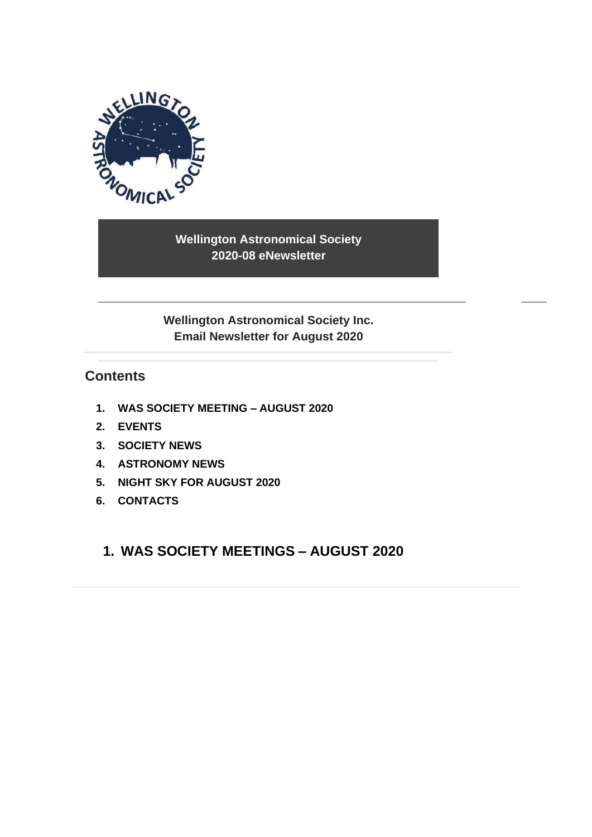

**Wellington Astronomical Society 2020-08 eNewsletter**

**Wellington Astronomical Society Inc. Email Newsletter for August 2020**

### **Contents**

- **1. [WAS SOCIETY MEETING –](#page-0-0) AUGUST 2020**
- **2. [EVENTS](#page-2-0)**
- **3. SOCIETY NEWS**
- **4. [ASTRONOMY NEWS](#page-5-0)**
- **5. [NIGHT SKY FOR](#page-8-0) AUGUST 2020**
- <span id="page-0-0"></span>**6. [CONTACTS](#page-8-1)**

### **1. WAS SOCIETY MEETINGS – AUGUST 2020**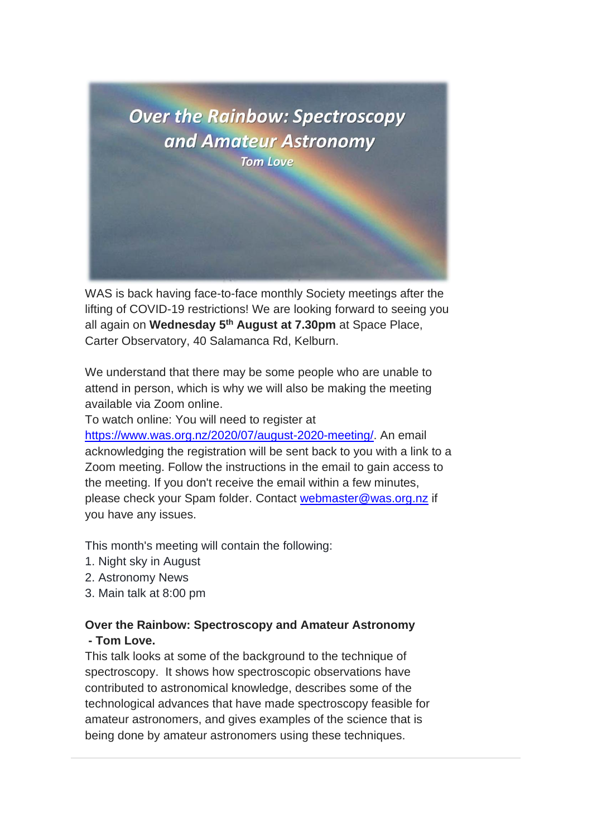

WAS is back having face-to-face monthly Society meetings after the lifting of COVID-19 restrictions! We are looking forward to seeing you all again on **Wednesday 5 th August at 7.30pm** at Space Place, Carter Observatory, 40 Salamanca Rd, Kelburn.

We understand that there may be some people who are unable to attend in person, which is why we will also be making the meeting available via Zoom online.

To watch online: You will need to register at [https://www.was.org.nz/2020/07/august-2020-meeting/.](https://www.was.org.nz/2020/07/august-2020-meeting/?fbclid=IwAR2nZ3RxemuexA1ogzx4y1tumZOkGTYEvH3rEzQShnrKSVTe9bpjlkUnlNE) An email acknowledging the registration will be sent back to you with a link to a Zoom meeting. Follow the instructions in the email to gain access to the meeting. If you don't receive the email within a few minutes, please check your Spam folder. Contact [webmaster@was.org.nz](mailto:webmaster@was.org.nz) if you have any issues.

This month's meeting will contain the following:

- 1. Night sky in August
- 2. Astronomy News
- 3. Main talk at 8:00 pm

#### **Over the Rainbow: Spectroscopy and Amateur Astronomy - Tom Love.**

This talk looks at some of the background to the technique of spectroscopy. It shows how spectroscopic observations have contributed to astronomical knowledge, describes some of the technological advances that have made spectroscopy feasible for amateur astronomers, and gives examples of the science that is being done by amateur astronomers using these techniques.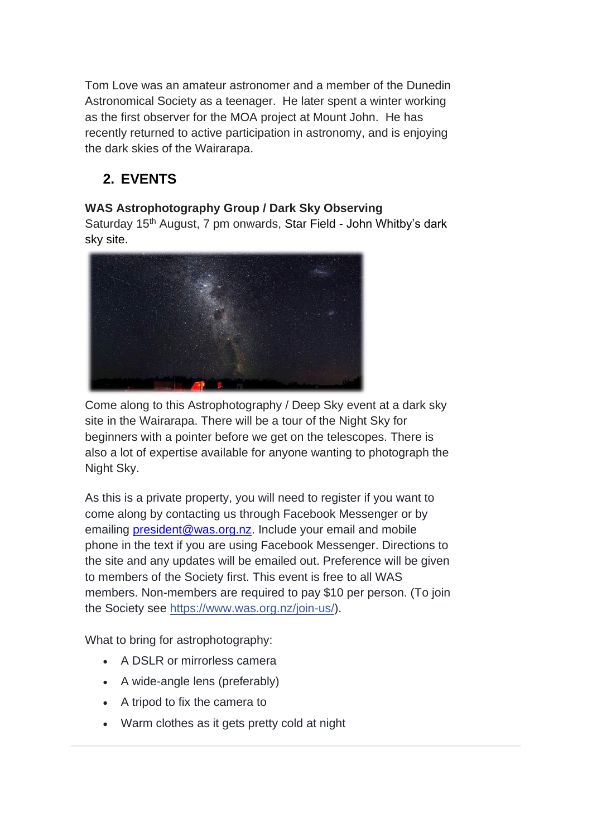Tom Love was an amateur astronomer and a member of the Dunedin Astronomical Society as a teenager. He later spent a winter working as the first observer for the MOA project at Mount John. He has recently returned to active participation in astronomy, and is enjoying the dark skies of the Wairarapa.

# <span id="page-2-0"></span>**2. EVENTS**

**WAS Astrophotography Group / Dark Sky Observing**

Saturday 15<sup>th</sup> August, 7 pm onwards, Star Field - John Whitby's dark sky site.



Come along to this Astrophotography / Deep Sky event at a dark sky site in the Wairarapa. There will be a tour of the Night Sky for beginners with a pointer before we get on the telescopes. There is also a lot of expertise available for anyone wanting to photograph the Night Sky.

As this is a private property, you will need to register if you want to come along by contacting us through Facebook Messenger or by emailing [president@was.org.nz.](mailto:president@was.org.nz) Include your email and mobile phone in the text if you are using Facebook Messenger. Directions to the site and any updates will be emailed out. Preference will be given to members of the Society first. This event is free to all WAS members. Non-members are required to pay \$10 per person. (To join the Society see [https://www.was.org.nz/join-us/\)](https://www.was.org.nz/join-us/?fbclid=IwAR259HJp3obvJriRaZ9gU2RwrDIn5Atwjb_oel1AhmKxBhgeN4O_8oampZg).

What to bring for astrophotography:

- A DSLR or mirrorless camera
- A wide-angle lens (preferably)
- A tripod to fix the camera to
- Warm clothes as it gets pretty cold at night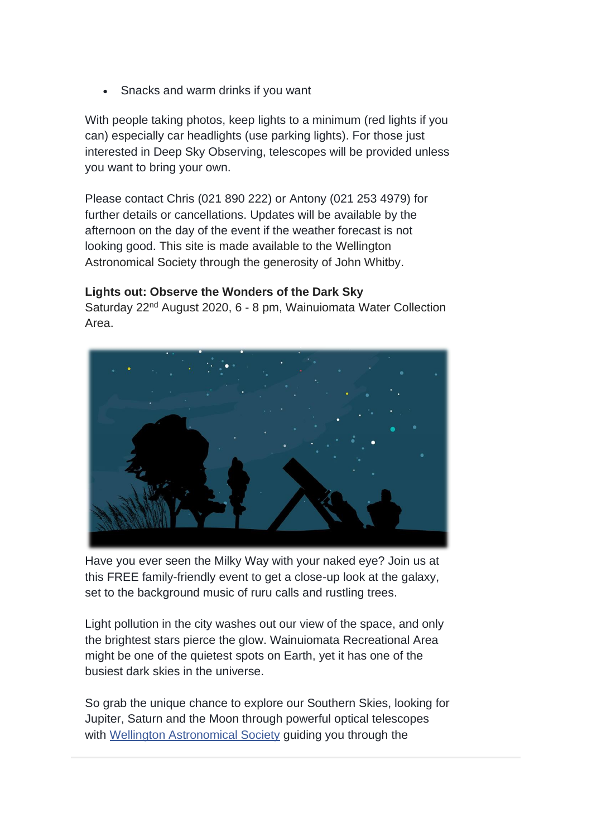• Snacks and warm drinks if you want

With people taking photos, keep lights to a minimum (red lights if you can) especially car headlights (use parking lights). For those just interested in Deep Sky Observing, telescopes will be provided unless you want to bring your own.

Please contact Chris (021 890 222) or Antony (021 253 4979) for further details or cancellations. Updates will be available by the afternoon on the day of the event if the weather forecast is not looking good. This site is made available to the Wellington Astronomical Society through the generosity of John Whitby.

#### **Lights out: Observe the Wonders of the Dark Sky**

Saturday 22<sup>nd</sup> August 2020, 6 - 8 pm, Wainuiomata Water Collection Area.



Have you ever seen the Milky Way with your naked eye? Join us at this FREE family-friendly event to get a close-up look at the galaxy, set to the background music of ruru calls and rustling trees.

Light pollution in the city washes out our view of the space, and only the brightest stars pierce the glow. Wainuiomata Recreational Area might be one of the quietest spots on Earth, yet it has one of the busiest dark skies in the universe.

So grab the unique chance to explore our Southern Skies, looking for Jupiter, Saturn and the Moon through powerful optical telescopes with [Wellington Astronomical Society](https://www.facebook.com/WellingtonAstronomicalSociety/) guiding you through the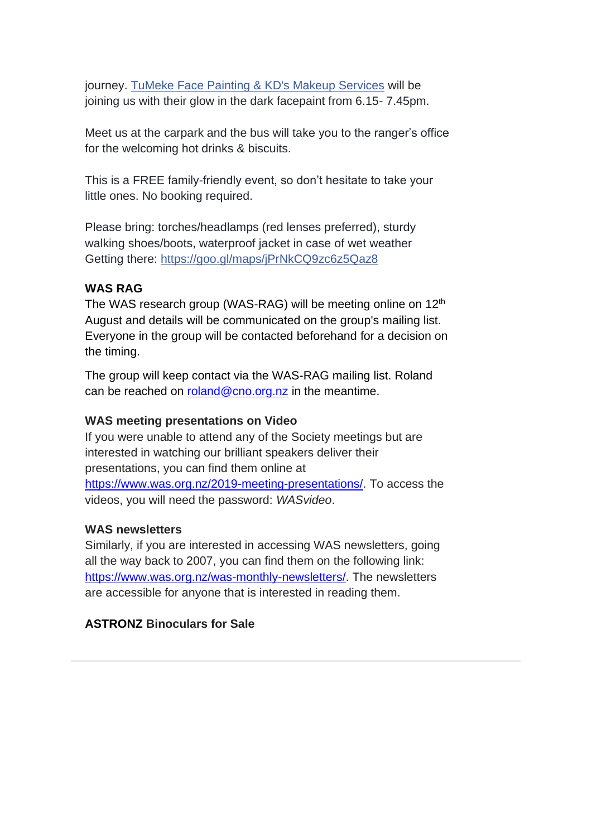journey. [TuMeke Face Painting & KD's Makeup Services](https://www.facebook.com/fxbykd/) will be joining us with their glow in the dark facepaint from 6.15- 7.45pm.

Meet us at the carpark and the bus will take you to the ranger's office for the welcoming hot drinks & biscuits.

This is a FREE family-friendly event, so don't hesitate to take your little ones. No booking required.

Please bring: torches/headlamps (red lenses preferred), sturdy walking shoes/boots, waterproof jacket in case of wet weather Getting there: [https://goo.gl/maps/jPrNkCQ9zc6z5Qaz8](https://goo.gl/maps/jPrNkCQ9zc6z5Qaz8?fbclid=IwAR058uiAqM_tzBD_wc4f1WrYSUMf6Wso2WU6L5Z54PuIBM4c7UBOJQaGA_s)

#### **WAS RAG**

The WAS research group (WAS-RAG) will be meeting online on 12<sup>th</sup> August and details will be communicated on the group's mailing list. Everyone in the group will be contacted beforehand for a decision on the timing.

The group will keep contact via the WAS-RAG mailing list. Roland can be reached on [roland@cno.org.nz](mailto:roland@cno.org.nz) in the meantime.

#### **WAS meeting presentations on Video**

If you were unable to attend any of the Society meetings but are interested in watching our brilliant speakers deliver their presentations, you can find them online at [https://www.was.org.nz/2019-meeting-presentations/.](https://www.was.org.nz/2019-meeting-presentations/) To access the videos, you will need the password: *WASvideo*.

#### **WAS newsletters**

Similarly, if you are interested in accessing WAS newsletters, going all the way back to 2007, you can find them on the following link: [https://www.was.org.nz/was-monthly-newsletters/.](https://www.was.org.nz/was-monthly-newsletters/) The newsletters are accessible for anyone that is interested in reading them.

#### **ASTRONZ Binoculars for Sale**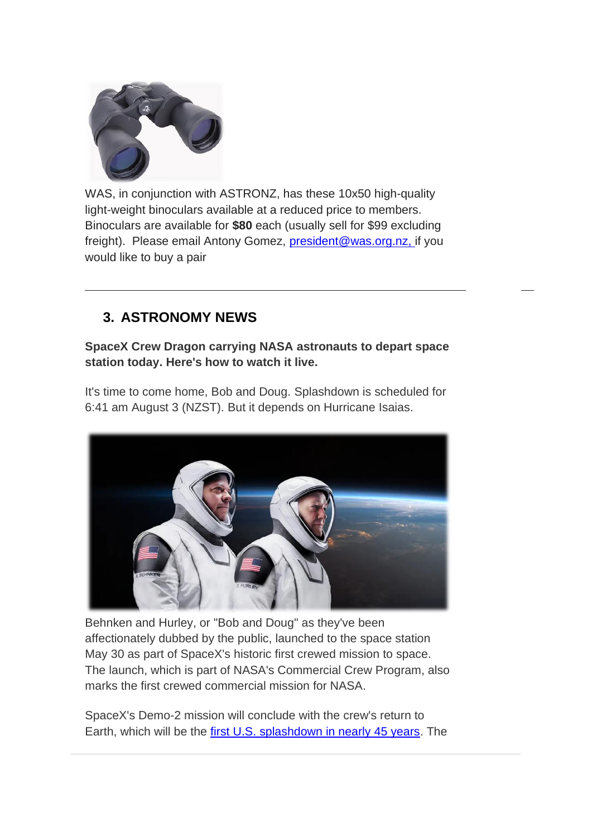

WAS, in conjunction with ASTRONZ, has these 10x50 high-quality light-weight binoculars available at a reduced price to members. Binoculars are available for **\$80** each (usually sell for \$99 excluding freight). Please email Antony Gomez, [president@was.org.nz,](mailto:president@was.org.nz) if you would like to buy a pair

## <span id="page-5-0"></span>**3. ASTRONOMY NEWS**

**SpaceX Crew Dragon carrying NASA astronauts to depart space station today. Here's how to watch it live.**

It's time to come home, Bob and Doug. Splashdown is scheduled for 6:41 am August 3 (NZST). But it depends on Hurricane Isaias.



Behnken and Hurley, or "Bob and Doug" as they've been affectionately dubbed by the public, launched to the space station May 30 as part of SpaceX's historic first crewed mission to space. The launch, which is part of NASA's Commercial Crew Program, also marks the first crewed commercial mission for NASA.

SpaceX's Demo-2 mission will conclude with the crew's return to Earth, which will be the [first U.S. splashdown in nearly 45 years.](https://www.space.com/spacex-nasa-demo-2-splashdown-explained.html) The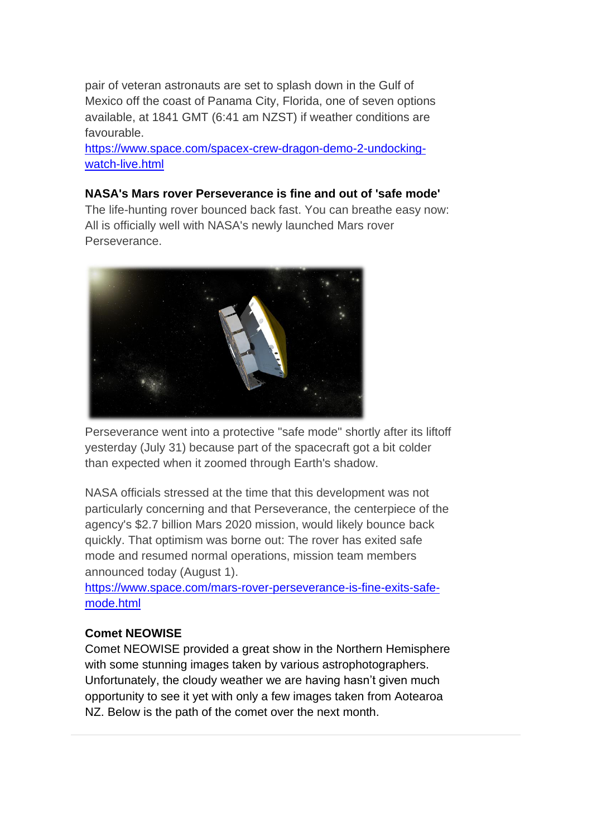pair of veteran astronauts are set to splash down in the Gulf of Mexico off the coast of Panama City, Florida, one of seven options available, at 1841 GMT (6:41 am NZST) if weather conditions are favourable.

[https://www.space.com/spacex-crew-dragon-demo-2-undocking](https://www.space.com/spacex-crew-dragon-demo-2-undocking-watch-live.html)[watch-live.html](https://www.space.com/spacex-crew-dragon-demo-2-undocking-watch-live.html)

#### **NASA's Mars rover Perseverance is fine and out of 'safe mode'**

The life-hunting rover bounced back fast. You can breathe easy now: All is officially well with NASA's newly launched Mars rover Perseverance.



Perseverance went into a protective "safe mode" shortly after its liftoff yesterday (July 31) because part of the spacecraft got a bit colder than expected when it zoomed through Earth's shadow.

NASA officials stressed at the time that this development was not particularly concerning and that Perseverance, the centerpiece of the agency's \$2.7 billion Mars 2020 mission, would likely bounce back quickly. That optimism was borne out: The rover has exited safe mode and resumed normal operations, mission team members announced today (August 1).

[https://www.space.com/mars-rover-perseverance-is-fine-exits-safe](https://www.space.com/mars-rover-perseverance-is-fine-exits-safe-mode.html)[mode.html](https://www.space.com/mars-rover-perseverance-is-fine-exits-safe-mode.html)

#### **Comet NEOWISE**

Comet NEOWISE provided a great show in the Northern Hemisphere with some stunning images taken by various astrophotographers. Unfortunately, the cloudy weather we are having hasn't given much opportunity to see it yet with only a few images taken from Aotearoa NZ. Below is the path of the comet over the next month.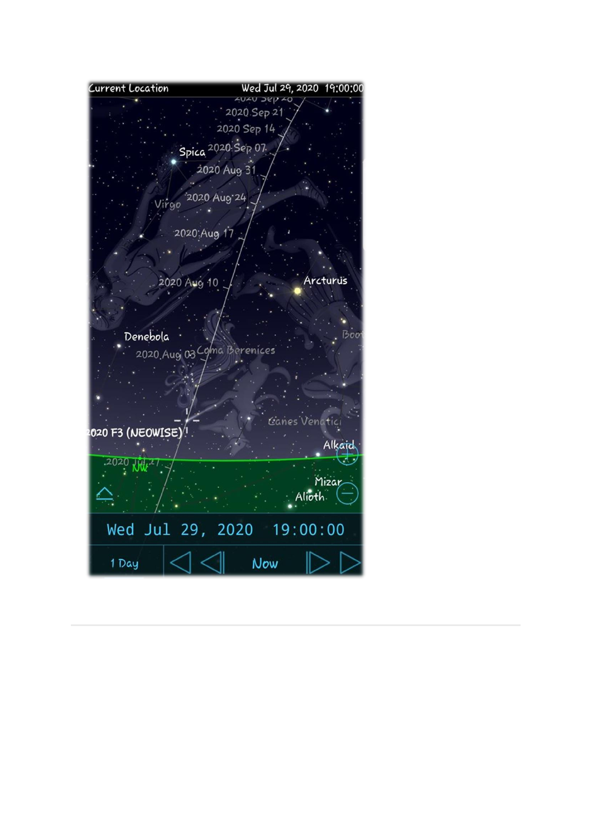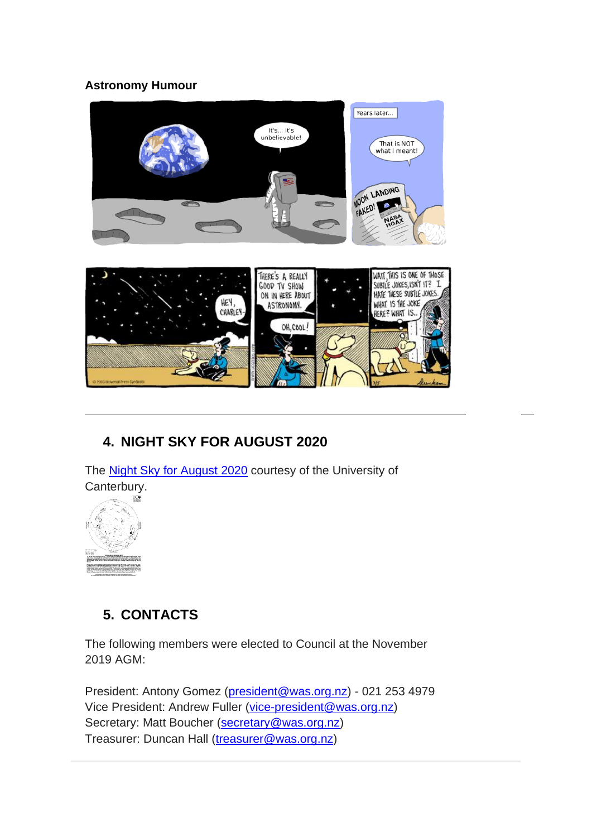### **Astronomy Humour**



## <span id="page-8-0"></span>**4. NIGHT SKY FOR AUGUST 2020**

The **Night Sky for August 2020** courtesy of the University of Canterbury.



## <span id="page-8-1"></span>**5. CONTACTS**

The following members were elected to Council at the November 2019 AGM:

President: Antony Gomez [\(president@was.org.nz\)](mailto:president@was.org.nz) - 021 253 4979 Vice President: Andrew Fuller [\(vice-president@was.org.nz\)](mailto:vice-president@was.org.nz) Secretary: Matt Boucher [\(secretary@was.org.nz\)](mailto:secretary@was.org.nz) Treasurer: Duncan Hall [\(treasurer@was.org.nz\)](mailto:treasurer@was.org.nz)